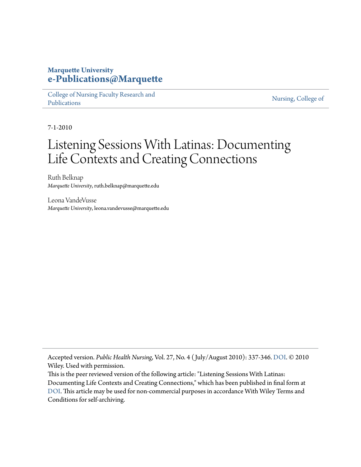#### **Marquette University [e-Publications@Marquette](https://epublications.marquette.edu)**

[College of Nursing Faculty Research and](https://epublications.marquette.edu/nursing_fac) [Publications](https://epublications.marquette.edu/nursing_fac)

[Nursing, College of](https://epublications.marquette.edu/nursing)

7-1-2010

## Listening Sessions With Latinas: Documenting Life Contexts and Creating Connections

Ruth Belknap *Marquette University*, ruth.belknap@marquette.edu

Leona VandeVusse *Marquette University*, leona.vandevusse@marquette.edu

Accepted version. *Public Health Nursing*, Vol. 27, No. 4 ( July/August 2010): 337-346. [DOI](http://dx.doi.org/10.1111/j.1525-1446.2010.00864.x). © 2010 Wiley. Used with permission.

This is the peer reviewed version of the following article: "Listening Sessions With Latinas: Documenting Life Contexts and Creating Connections," which has been published in final form at [DOI](http://dx.doi.org/10.1111/j.1525-1446.2010.00864.x). This article may be used for non-commercial purposes in accordance With Wiley Terms and Conditions for self-archiving.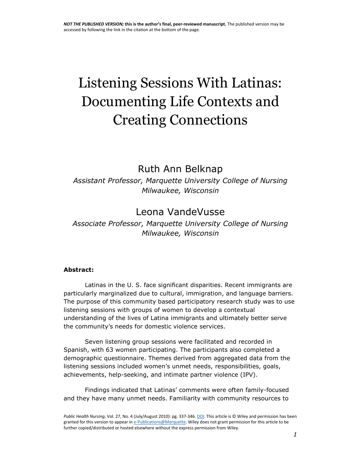# Listening Sessions With Latinas: Documenting Life Contexts and Creating Connections

## Ruth Ann Belknap

*Assistant Professor, Marquette University College of Nursing Milwaukee, Wisconsin* 

## Leona VandeVusse

*Associate Professor, Marquette University College of Nursing Milwaukee, Wisconsin*

#### **Abstract:**

Latinas in the U. S. face significant disparities. Recent immigrants are particularly marginalized due to cultural, immigration, and language barriers. The purpose of this community based participatory research study was to use listening sessions with groups of women to develop a contextual understanding of the lives of Latina immigrants and ultimately better serve the community's needs for domestic violence services.

Seven listening group sessions were facilitated and recorded in Spanish, with 63 women participating. The participants also completed a demographic questionnaire. Themes derived from aggregated data from the listening sessions included women's unmet needs, responsibilities, goals, achievements, help-seeking, and intimate partner violence (IPV).

Findings indicated that Latinas' comments were often family-focused and they have many unmet needs. Familiarity with community resources to

*Public Health Nursing*, Vol. 27, No. 4 (July/August 2010): pg. 337-346[. DOI.](http://dx.doi.org/10.1111/j.1525-1446.2010.00864.x) This article is © Wiley and permission has been granted for this version to appear i[n e-Publications@Marquette.](http://epublications.marquette.edu/) Wiley does not grant permission for this article to be further copied/distributed or hosted elsewhere without the express permission from Wiley.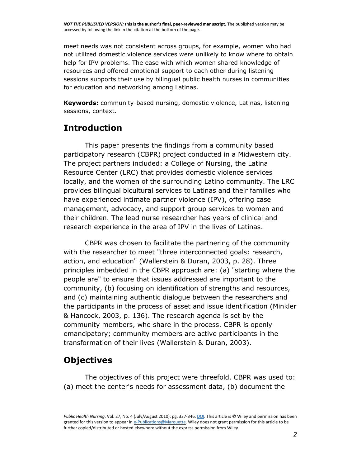*NOT THE PUBLISHED VERSION;* **this is the author's final, peer-reviewed manuscript.** The published version may be accessed by following the link in the citation at the bottom of the page.

meet needs was not consistent across groups, for example, women who had not utilized domestic violence services were unlikely to know where to obtain help for IPV problems. The ease with which women shared knowledge of resources and offered emotional support to each other during listening sessions supports their use by bilingual public health nurses in communities for education and networking among Latinas.

**Keywords:** community-based nursing, domestic violence, Latinas, listening sessions, context.

#### **Introduction**

This paper presents the findings from a community based participatory research (CBPR) project conducted in a Midwestern city. The project partners included: a College of Nursing, the Latina Resource Center (LRC) that provides domestic violence services locally, and the women of the surrounding Latino community. The LRC provides bilingual bicultural services to Latinas and their families who have experienced intimate partner violence (IPV), offering case management, advocacy, and support group services to women and their children. The lead nurse researcher has years of clinical and research experience in the area of IPV in the lives of Latinas.

CBPR was chosen to facilitate the partnering of the community with the researcher to meet "three interconnected goals: research, action, and education" (Wallerstein & Duran, 2003, p. 28). Three principles imbedded in the CBPR approach are: (a) "starting where the people are" to ensure that issues addressed are important to the community, (b) focusing on identification of strengths and resources, and (c) maintaining authentic dialogue between the researchers and the participants in the process of asset and issue identification (Minkler & Hancock, 2003, p. 136). The research agenda is set by the community members, who share in the process. CBPR is openly emancipatory; community members are active participants in the transformation of their lives (Wallerstein & Duran, 2003).

#### **Objectives**

The objectives of this project were threefold. CBPR was used to: (a) meet the center's needs for assessment data, (b) document the

*Public Health Nursing*, Vol. 27, No. 4 (July/August 2010): pg. 337-346[. DOI.](http://dx.doi.org/10.1111/j.1525-1446.2010.00864.x) This article is © Wiley and permission has been granted for this version to appear i[n e-Publications@Marquette.](http://epublications.marquette.edu/) Wiley does not grant permission for this article to be further copied/distributed or hosted elsewhere without the express permission from Wiley.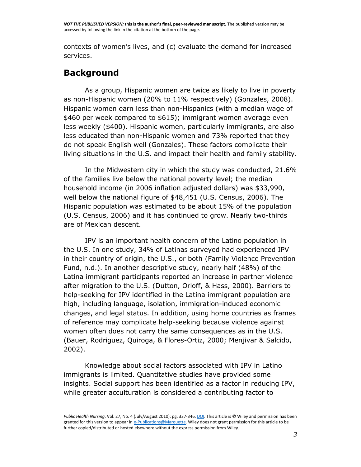*NOT THE PUBLISHED VERSION;* **this is the author's final, peer-reviewed manuscript.** The published version may be accessed by following the link in the citation at the bottom of the page.

contexts of women's lives, and (c) evaluate the demand for increased services.

#### **Background**

As a group, Hispanic women are twice as likely to live in poverty as non-Hispanic women (20% to 11% respectively) (Gonzales, 2008). Hispanic women earn less than non-Hispanics (with a median wage of \$460 per week compared to \$615); immigrant women average even less weekly (\$400). Hispanic women, particularly immigrants, are also less educated than non-Hispanic women and 73% reported that they do not speak English well (Gonzales). These factors complicate their living situations in the U.S. and impact their health and family stability.

In the Midwestern city in which the study was conducted, 21.6% of the families live below the national poverty level; the median household income (in 2006 inflation adjusted dollars) was \$33,990, well below the national figure of \$48,451 (U.S. Census, 2006). The Hispanic population was estimated to be about 15% of the population (U.S. Census, 2006) and it has continued to grow. Nearly two-thirds are of Mexican descent.

IPV is an important health concern of the Latino population in the U.S. In one study, 34% of Latinas surveyed had experienced IPV in their country of origin, the U.S., or both (Family Violence Prevention Fund, n.d.). In another descriptive study, nearly half (48%) of the Latina immigrant participants reported an increase in partner violence after migration to the U.S. (Dutton, Orloff, & Hass, 2000). Barriers to help-seeking for IPV identified in the Latina immigrant population are high, including language, isolation, immigration-induced economic changes, and legal status. In addition, using home countries as frames of reference may complicate help-seeking because violence against women often does not carry the same consequences as in the U.S. (Bauer, Rodriguez, Quiroga, & Flores-Ortiz, 2000; Menjivar & Salcido, 2002).

Knowledge about social factors associated with IPV in Latino immigrants is limited. Quantitative studies have provided some insights. Social support has been identified as a factor in reducing IPV, while greater acculturation is considered a contributing factor to

*Public Health Nursing*, Vol. 27, No. 4 (July/August 2010): pg. 337-346[. DOI.](http://dx.doi.org/10.1111/j.1525-1446.2010.00864.x) This article is © Wiley and permission has been granted for this version to appear i[n e-Publications@Marquette.](http://epublications.marquette.edu/) Wiley does not grant permission for this article to be further copied/distributed or hosted elsewhere without the express permission from Wiley.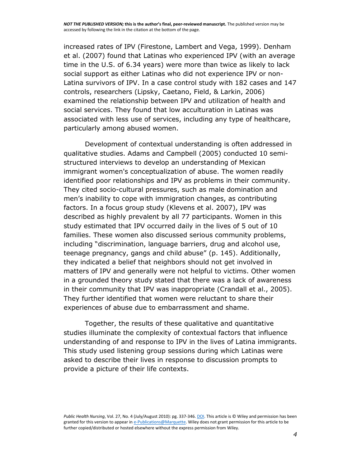increased rates of IPV (Firestone, Lambert and Vega, 1999). Denham et al. (2007) found that Latinas who experienced IPV (with an average time in the U.S. of 6.34 years) were more than twice as likely to lack social support as either Latinas who did not experience IPV or non-Latina survivors of IPV. In a case control study with 182 cases and 147 controls, researchers (Lipsky, Caetano, Field, & Larkin, 2006) examined the relationship between IPV and utilization of health and social services. They found that low acculturation in Latinas was associated with less use of services, including any type of healthcare, particularly among abused women.

Development of contextual understanding is often addressed in qualitative studies. Adams and Campbell (2005) conducted 10 semistructured interviews to develop an understanding of Mexican immigrant women's conceptualization of abuse. The women readily identified poor relationships and IPV as problems in their community. They cited socio-cultural pressures, such as male domination and men's inability to cope with immigration changes, as contributing factors. In a focus group study (Klevens et al. 2007), IPV was described as highly prevalent by all 77 participants. Women in this study estimated that IPV occurred daily in the lives of 5 out of 10 families. These women also discussed serious community problems, including "discrimination, language barriers, drug and alcohol use, teenage pregnancy, gangs and child abuse" (p. 145). Additionally, they indicated a belief that neighbors should not get involved in matters of IPV and generally were not helpful to victims. Other women in a grounded theory study stated that there was a lack of awareness in their community that IPV was inappropriate (Crandall et al., 2005). They further identified that women were reluctant to share their experiences of abuse due to embarrassment and shame.

Together, the results of these qualitative and quantitative studies illuminate the complexity of contextual factors that influence understanding of and response to IPV in the lives of Latina immigrants. This study used listening group sessions during which Latinas were asked to describe their lives in response to discussion prompts to provide a picture of their life contexts.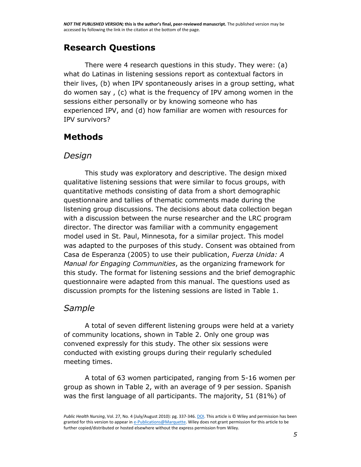## **Research Questions**

There were 4 research questions in this study. They were: (a) what do Latinas in listening sessions report as contextual factors in their lives, (b) when IPV spontaneously arises in a group setting, what do women say , (c) what is the frequency of IPV among women in the sessions either personally or by knowing someone who has experienced IPV, and (d) how familiar are women with resources for IPV survivors?

## **Methods**

#### *Design*

This study was exploratory and descriptive. The design mixed qualitative listening sessions that were similar to focus groups, with quantitative methods consisting of data from a short demographic questionnaire and tallies of thematic comments made during the listening group discussions. The decisions about data collection began with a discussion between the nurse researcher and the LRC program director. The director was familiar with a community engagement model used in St. Paul, Minnesota, for a similar project. This model was adapted to the purposes of this study. Consent was obtained from Casa de Esperanza (2005) to use their publication, *Fuerza Unida: A Manual for Engaging Communities*, as the organizing framework for this study*.* The format for listening sessions and the brief demographic questionnaire were adapted from this manual. The questions used as discussion prompts for the listening sessions are listed in Table 1.

#### *Sample*

A total of seven different listening groups were held at a variety of community locations, shown in Table 2. Only one group was convened expressly for this study. The other six sessions were conducted with existing groups during their regularly scheduled meeting times.

A total of 63 women participated, ranging from 5-16 women per group as shown in Table 2, with an average of 9 per session. Spanish was the first language of all participants. The majority, 51 (81%) of

*Public Health Nursing*, Vol. 27, No. 4 (July/August 2010): pg. 337-346[. DOI.](http://dx.doi.org/10.1111/j.1525-1446.2010.00864.x) This article is © Wiley and permission has been granted for this version to appear i[n e-Publications@Marquette.](http://epublications.marquette.edu/) Wiley does not grant permission for this article to be further copied/distributed or hosted elsewhere without the express permission from Wiley.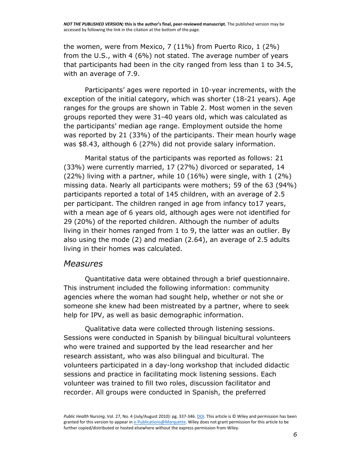the women, were from Mexico, 7 (11%) from Puerto Rico, 1 (2%) from the U.S., with 4 (6%) not stated. The average number of years that participants had been in the city ranged from less than 1 to 34.5, with an average of 7.9.

Participants' ages were reported in 10-year increments, with the exception of the initial category, which was shorter (18-21 years). Age ranges for the groups are shown in Table 2. Most women in the seven groups reported they were 31-40 years old, which was calculated as the participants' median age range. Employment outside the home was reported by 21 (33%) of the participants. Their mean hourly wage was \$8.43, although 6 (27%) did not provide salary information.

Marital status of the participants was reported as follows: 21 (33%) were currently married, 17 (27%) divorced or separated, 14  $(22%)$  living with a partner, while 10  $(16%)$  were single, with 1  $(2%)$ missing data. Nearly all participants were mothers; 59 of the 63 (94%) participants reported a total of 145 children, with an average of 2.5 per participant. The children ranged in age from infancy to17 years, with a mean age of 6 years old, although ages were not identified for 29 (20%) of the reported children. Although the number of adults living in their homes ranged from 1 to 9, the latter was an outlier. By also using the mode (2) and median (2.64), an average of 2.5 adults living in their homes was calculated.

#### *Measures*

Quantitative data were obtained through a brief questionnaire. This instrument included the following information: community agencies where the woman had sought help, whether or not she or someone she knew had been mistreated by a partner, where to seek help for IPV, as well as basic demographic information.

Qualitative data were collected through listening sessions. Sessions were conducted in Spanish by bilingual bicultural volunteers who were trained and supported by the lead researcher and her research assistant, who was also bilingual and bicultural. The volunteers participated in a day-long workshop that included didactic sessions and practice in facilitating mock listening sessions. Each volunteer was trained to fill two roles, discussion facilitator and recorder. All groups were conducted in Spanish, the preferred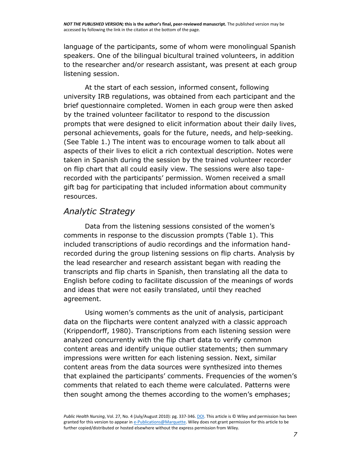language of the participants, some of whom were monolingual Spanish speakers. One of the bilingual bicultural trained volunteers, in addition to the researcher and/or research assistant, was present at each group listening session.

At the start of each session, informed consent, following university IRB regulations, was obtained from each participant and the brief questionnaire completed. Women in each group were then asked by the trained volunteer facilitator to respond to the discussion prompts that were designed to elicit information about their daily lives, personal achievements, goals for the future, needs, and help-seeking. (See Table 1.) The intent was to encourage women to talk about all aspects of their lives to elicit a rich contextual description. Notes were taken in Spanish during the session by the trained volunteer recorder on flip chart that all could easily view. The sessions were also taperecorded with the participants' permission. Women received a small gift bag for participating that included information about community resources.

### *Analytic Strategy*

Data from the listening sessions consisted of the women's comments in response to the discussion prompts (Table 1). This included transcriptions of audio recordings and the information handrecorded during the group listening sessions on flip charts. Analysis by the lead researcher and research assistant began with reading the transcripts and flip charts in Spanish, then translating all the data to English before coding to facilitate discussion of the meanings of words and ideas that were not easily translated, until they reached agreement.

Using women's comments as the unit of analysis, participant data on the flipcharts were content analyzed with a classic approach (Krippendorff, 1980). Transcriptions from each listening session were analyzed concurrently with the flip chart data to verify common content areas and identify unique outlier statements; then summary impressions were written for each listening session. Next, similar content areas from the data sources were synthesized into themes that explained the participants' comments. Frequencies of the women's comments that related to each theme were calculated. Patterns were then sought among the themes according to the women's emphases;

*Public Health Nursing*, Vol. 27, No. 4 (July/August 2010): pg. 337-346[. DOI.](http://dx.doi.org/10.1111/j.1525-1446.2010.00864.x) This article is © Wiley and permission has been granted for this version to appear i[n e-Publications@Marquette.](http://epublications.marquette.edu/) Wiley does not grant permission for this article to be further copied/distributed or hosted elsewhere without the express permission from Wiley.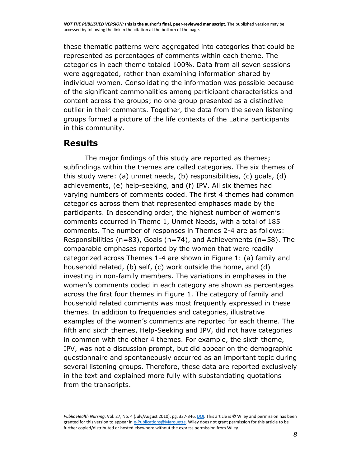these thematic patterns were aggregated into categories that could be represented as percentages of comments within each theme. The categories in each theme totaled 100%. Data from all seven sessions were aggregated, rather than examining information shared by individual women. Consolidating the information was possible because of the significant commonalities among participant characteristics and content across the groups; no one group presented as a distinctive outlier in their comments. Together, the data from the seven listening groups formed a picture of the life contexts of the Latina participants in this community.

#### **Results**

The major findings of this study are reported as themes; subfindings within the themes are called categories. The six themes of this study were: (a) unmet needs, (b) responsibilities, (c) goals, (d) achievements, (e) help-seeking, and (f) IPV. All six themes had varying numbers of comments coded. The first 4 themes had common categories across them that represented emphases made by the participants. In descending order, the highest number of women's comments occurred in Theme 1, Unmet Needs, with a total of 185 comments. The number of responses in Themes 2-4 are as follows: Responsibilities ( $n=83$ ), Goals ( $n=74$ ), and Achievements ( $n=58$ ). The comparable emphases reported by the women that were readily categorized across Themes 1-4 are shown in Figure 1: (a) family and household related, (b) self, (c) work outside the home, and (d) investing in non-family members. The variations in emphases in the women's comments coded in each category are shown as percentages across the first four themes in Figure 1. The category of family and household related comments was most frequently expressed in these themes. In addition to frequencies and categories, illustrative examples of the women's comments are reported for each theme. The fifth and sixth themes, Help-Seeking and IPV, did not have categories in common with the other 4 themes. For example, the sixth theme, IPV, was not a discussion prompt, but did appear on the demographic questionnaire and spontaneously occurred as an important topic during several listening groups. Therefore, these data are reported exclusively in the text and explained more fully with substantiating quotations from the transcripts.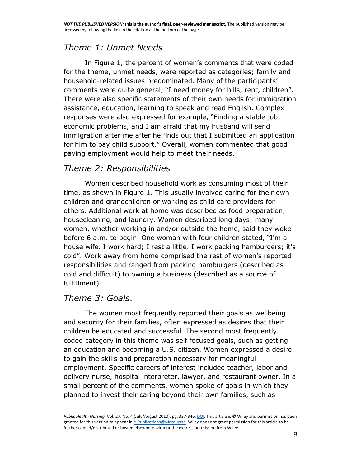## *Theme 1: Unmet Needs*

In Figure 1, the percent of women's comments that were coded for the theme, unmet needs, were reported as categories; family and household-related issues predominated. Many of the participants' comments were quite general, "I need money for bills, rent, children". There were also specific statements of their own needs for immigration assistance, education, learning to speak and read English. Complex responses were also expressed for example, "Finding a stable job, economic problems, and I am afraid that my husband will send immigration after me after he finds out that I submitted an application for him to pay child support." Overall, women commented that good paying employment would help to meet their needs.

#### *Theme 2: Responsibilities*

Women described household work as consuming most of their time, as shown in Figure 1. This usually involved caring for their own children and grandchildren or working as child care providers for others. Additional work at home was described as food preparation, housecleaning, and laundry. Women described long days; many women, whether working in and/or outside the home, said they woke before 6 a.m. to begin. One woman with four children stated, "I'm a house wife. I work hard; I rest a little. I work packing hamburgers; it's cold". Work away from home comprised the rest of women's reported responsibilities and ranged from packing hamburgers (described as cold and difficult) to owning a business (described as a source of fulfillment).

#### *Theme 3: Goals*.

The women most frequently reported their goals as wellbeing and security for their families, often expressed as desires that their children be educated and successful. The second most frequently coded category in this theme was self focused goals, such as getting an education and becoming a U.S. citizen. Women expressed a desire to gain the skills and preparation necessary for meaningful employment. Specific careers of interest included teacher, labor and delivery nurse, hospital interpreter, lawyer, and restaurant owner. In a small percent of the comments, women spoke of goals in which they planned to invest their caring beyond their own families, such as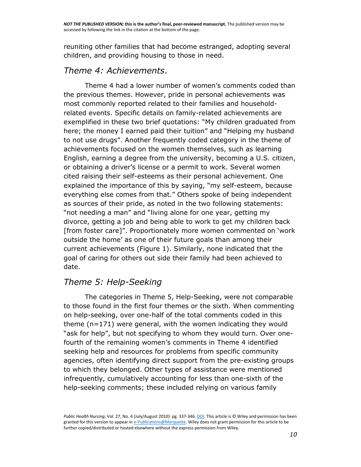reuniting other families that had become estranged, adopting several children, and providing housing to those in need.

#### *Theme 4: Achievements*.

Theme 4 had a lower number of women's comments coded than the previous themes. However, pride in personal achievements was most commonly reported related to their families and householdrelated events. Specific details on family-related achievements are exemplified in these two brief quotations: "My children graduated from here; the money I earned paid their tuition" and "Helping my husband to not use drugs". Another frequently coded category in the theme of achievements focused on the women themselves, such as learning English, earning a degree from the university, becoming a U.S. citizen, or obtaining a driver's license or a permit to work. Several women cited raising their self-esteems as their personal achievement. One explained the importance of this by saying, "my self-esteem, because everything else comes from that." Others spoke of being independent as sources of their pride, as noted in the two following statements: "not needing a man" and "living alone for one year, getting my divorce, getting a job and being able to work to get my children back [from foster care]". Proportionately more women commented on 'work outside the home' as one of their future goals than among their current achievements (Figure 1). Similarly, none indicated that the goal of caring for others out side their family had been achieved to date.

#### *Theme 5: Help-Seeking*

The categories in Theme 5, Help-Seeking, were not comparable to those found in the first four themes or the sixth. When commenting on help-seeking, over one-half of the total comments coded in this theme (n=171) were general, with the women indicating they would "ask for help", but not specifying to whom they would turn. Over onefourth of the remaining women's comments in Theme 4 identified seeking help and resources for problems from specific community agencies, often identifying direct support from the pre-existing groups to which they belonged. Other types of assistance were mentioned infrequently, cumulatively accounting for less than one-sixth of the help-seeking comments; these included relying on various family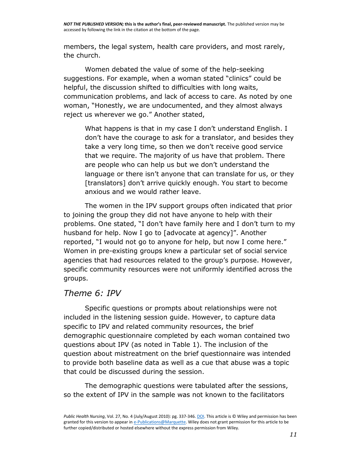members, the legal system, health care providers, and most rarely, the church.

Women debated the value of some of the help-seeking suggestions. For example, when a woman stated "clinics" could be helpful, the discussion shifted to difficulties with long waits, communication problems, and lack of access to care. As noted by one woman, "Honestly, we are undocumented, and they almost always reject us wherever we go." Another stated,

What happens is that in my case I don't understand English. I don't have the courage to ask for a translator, and besides they take a very long time, so then we don't receive good service that we require. The majority of us have that problem. There are people who can help us but we don't understand the language or there isn't anyone that can translate for us, or they [translators] don't arrive quickly enough. You start to become anxious and we would rather leave.

The women in the IPV support groups often indicated that prior to joining the group they did not have anyone to help with their problems. One stated, "I don't have family here and I don't turn to my husband for help. Now I go to [advocate at agency]". Another reported, "I would not go to anyone for help, but now I come here." Women in pre-existing groups knew a particular set of social service agencies that had resources related to the group's purpose. However, specific community resources were not uniformly identified across the groups.

#### *Theme 6: IPV*

Specific questions or prompts about relationships were not included in the listening session guide. However, to capture data specific to IPV and related community resources, the brief demographic questionnaire completed by each woman contained two questions about IPV (as noted in Table 1). The inclusion of the question about mistreatment on the brief questionnaire was intended to provide both baseline data as well as a cue that abuse was a topic that could be discussed during the session.

The demographic questions were tabulated after the sessions, so the extent of IPV in the sample was not known to the facilitators

*Public Health Nursing*, Vol. 27, No. 4 (July/August 2010): pg. 337-346[. DOI.](http://dx.doi.org/10.1111/j.1525-1446.2010.00864.x) This article is © Wiley and permission has been granted for this version to appear i[n e-Publications@Marquette.](http://epublications.marquette.edu/) Wiley does not grant permission for this article to be further copied/distributed or hosted elsewhere without the express permission from Wiley.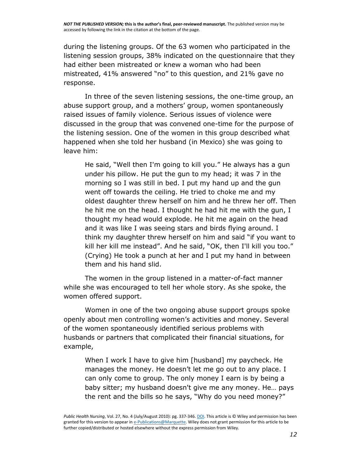during the listening groups. Of the 63 women who participated in the listening session groups, 38% indicated on the questionnaire that they had either been mistreated or knew a woman who had been mistreated, 41% answered "no" to this question, and 21% gave no response.

In three of the seven listening sessions, the one-time group, an abuse support group, and a mothers' group, women spontaneously raised issues of family violence. Serious issues of violence were discussed in the group that was convened one-time for the purpose of the listening session. One of the women in this group described what happened when she told her husband (in Mexico) she was going to leave him:

He said, "Well then I'm going to kill you." He always has a gun under his pillow. He put the gun to my head; it was 7 in the morning so I was still in bed. I put my hand up and the gun went off towards the ceiling. He tried to choke me and my oldest daughter threw herself on him and he threw her off. Then he hit me on the head. I thought he had hit me with the gun, I thought my head would explode. He hit me again on the head and it was like I was seeing stars and birds flying around. I think my daughter threw herself on him and said "if you want to kill her kill me instead". And he said, "OK, then I'll kill you too." (Crying) He took a punch at her and I put my hand in between them and his hand slid.

The women in the group listened in a matter-of-fact manner while she was encouraged to tell her whole story. As she spoke, the women offered support.

Women in one of the two ongoing abuse support groups spoke openly about men controlling women's activities and money. Several of the women spontaneously identified serious problems with husbands or partners that complicated their financial situations, for example,

When I work I have to give him [husband] my paycheck. He manages the money. He doesn't let me go out to any place. I can only come to group. The only money I earn is by being a baby sitter; my husband doesn't give me any money. He… pays the rent and the bills so he says, "Why do you need money?"

*Public Health Nursing*, Vol. 27, No. 4 (July/August 2010): pg. 337-346[. DOI.](http://dx.doi.org/10.1111/j.1525-1446.2010.00864.x) This article is © Wiley and permission has been granted for this version to appear i[n e-Publications@Marquette.](http://epublications.marquette.edu/) Wiley does not grant permission for this article to be further copied/distributed or hosted elsewhere without the express permission from Wiley.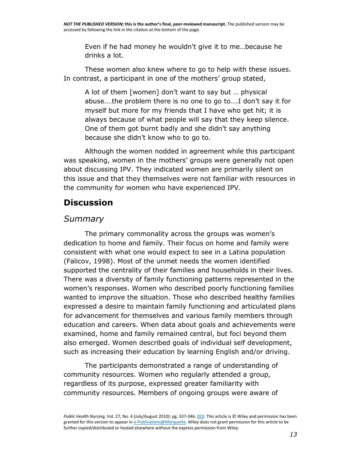Even if he had money he wouldn't give it to me…because he drinks a lot.

These women also knew where to go to help with these issues. In contrast, a participant in one of the mothers' group stated,

A lot of them [women] don't want to say but … physical abuse.…the problem there is no one to go to….I don't say it for myself but more for my friends that I have who get hit; it is always because of what people will say that they keep silence. One of them got burnt badly and she didn't say anything because she didn't know who to go to.

Although the women nodded in agreement while this participant was speaking, women in the mothers' groups were generally not open about discussing IPV. They indicated women are primarily silent on this issue and that they themselves were not familiar with resources in the community for women who have experienced IPV.

## **Discussion**

#### *Summary*

The primary commonality across the groups was women's dedication to home and family. Their focus on home and family were consistent with what one would expect to see in a Latina population (Falicov, 1998). Most of the unmet needs the women identified supported the centrality of their families and households in their lives. There was a diversity of family functioning patterns represented in the women's responses. Women who described poorly functioning families wanted to improve the situation. Those who described healthy families expressed a desire to maintain family functioning and articulated plans for advancement for themselves and various family members through education and careers. When data about goals and achievements were examined, home and family remained central, but foci beyond them also emerged. Women described goals of individual self development, such as increasing their education by learning English and/or driving.

The participants demonstrated a range of understanding of community resources. Women who regularly attended a group, regardless of its purpose, expressed greater familiarity with community resources. Members of ongoing groups were aware of

*Public Health Nursing*, Vol. 27, No. 4 (July/August 2010): pg. 337-346[. DOI.](http://dx.doi.org/10.1111/j.1525-1446.2010.00864.x) This article is © Wiley and permission has been granted for this version to appear i[n e-Publications@Marquette.](http://epublications.marquette.edu/) Wiley does not grant permission for this article to be further copied/distributed or hosted elsewhere without the express permission from Wiley.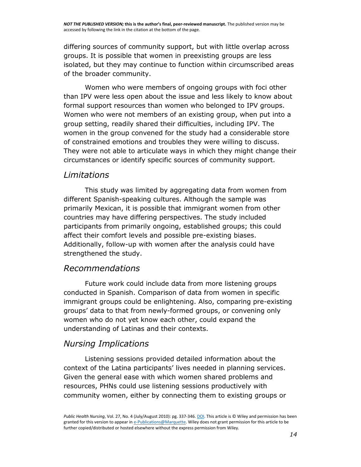differing sources of community support, but with little overlap across groups. It is possible that women in preexisting groups are less isolated, but they may continue to function within circumscribed areas of the broader community.

Women who were members of ongoing groups with foci other than IPV were less open about the issue and less likely to know about formal support resources than women who belonged to IPV groups. Women who were not members of an existing group, when put into a group setting, readily shared their difficulties, including IPV. The women in the group convened for the study had a considerable store of constrained emotions and troubles they were willing to discuss. They were not able to articulate ways in which they might change their circumstances or identify specific sources of community support.

#### *Limitations*

This study was limited by aggregating data from women from different Spanish-speaking cultures. Although the sample was primarily Mexican, it is possible that immigrant women from other countries may have differing perspectives. The study included participants from primarily ongoing, established groups; this could affect their comfort levels and possible pre-existing biases. Additionally, follow-up with women after the analysis could have strengthened the study.

#### *Recommendations*

Future work could include data from more listening groups conducted in Spanish. Comparison of data from women in specific immigrant groups could be enlightening. Also, comparing pre-existing groups' data to that from newly-formed groups, or convening only women who do not yet know each other, could expand the understanding of Latinas and their contexts.

#### *Nursing Implications*

Listening sessions provided detailed information about the context of the Latina participants' lives needed in planning services. Given the general ease with which women shared problems and resources, PHNs could use listening sessions productively with community women, either by connecting them to existing groups or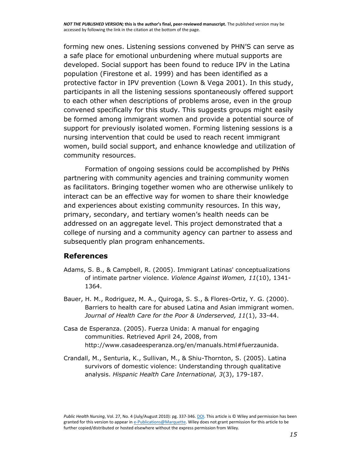forming new ones. Listening sessions convened by PHN'S can serve as a safe place for emotional unburdening where mutual supports are developed. Social support has been found to reduce IPV in the Latina population (Firestone et al. 1999) and has been identified as a protective factor in IPV prevention (Lown & Vega 2001). In this study, participants in all the listening sessions spontaneously offered support to each other when descriptions of problems arose, even in the group convened specifically for this study. This suggests groups might easily be formed among immigrant women and provide a potential source of support for previously isolated women. Forming listening sessions is a nursing intervention that could be used to reach recent immigrant women, build social support, and enhance knowledge and utilization of community resources.

Formation of ongoing sessions could be accomplished by PHNs partnering with community agencies and training community women as facilitators. Bringing together women who are otherwise unlikely to interact can be an effective way for women to share their knowledge and experiences about existing community resources. In this way, primary, secondary, and tertiary women's health needs can be addressed on an aggregate level. This project demonstrated that a college of nursing and a community agency can partner to assess and subsequently plan program enhancements.

#### **References**

- Adams, S. B., & Campbell, R. (2005). Immigrant Latinas' conceptualizations of intimate partner violence. *Violence Against Women, 11*(10), 1341- 1364.
- Bauer, H. M., Rodriguez, M. A., Quiroga, S. S., & Flores-Ortiz, Y. G. (2000). Barriers to health care for abused Latina and Asian immigrant women. *Journal of Health Care for the Poor & Underserved, 11*(1), 33-44.
- Casa de Esperanza. (2005). Fuerza Unida: A manual for engaging communities. Retrieved April 24, 2008, from http://www.casadeesperanza.org/en/manuals.html#fuerzaunida.
- Crandall, M., Senturia, K., Sullivan, M., & Shiu-Thornton, S. (2005). Latina survivors of domestic violence: Understanding through qualitative analysis. *Hispanic Health Care International, 3*(3), 179-187.

*Public Health Nursing*, Vol. 27, No. 4 (July/August 2010): pg. 337-346[. DOI.](http://dx.doi.org/10.1111/j.1525-1446.2010.00864.x) This article is © Wiley and permission has been granted for this version to appear i[n e-Publications@Marquette.](http://epublications.marquette.edu/) Wiley does not grant permission for this article to be further copied/distributed or hosted elsewhere without the express permission from Wiley.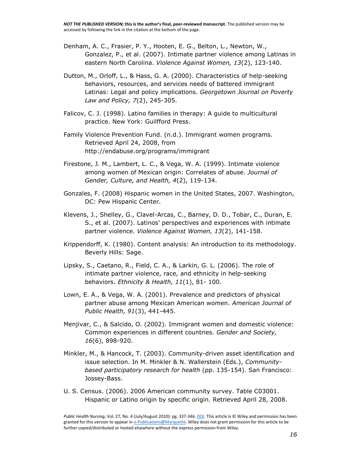- Denham, A. C., Frasier, P. Y., Hooten, E. G., Belton, L., Newton, W., Gonzalez, P., et al. (2007). Intimate partner violence among Latinas in eastern North Carolina. *Violence Against Women, 13*(2), 123-140.
- Dutton, M., Orloff, L., & Hass, G. A. (2000). Characteristics of help-seeking behaviors, resources, and services needs of battered immigrant Latinas: Legal and policy implications. *Georgetown Journal on Poverty Law and Policy, 7*(2), 245-305.
- Falicov, C. J. (1998). Latino families in therapy: A guide to multicultural practice. New York: Guilfford Press.
- Family Violence Prevention Fund. (n.d.). Immigrant women programs. Retrieved April 24, 2008, from <http://endabuse.org/programs/immigrant>
- Firestone, J. M., Lambert, L. C., & Vega, W. A. (1999). Intimate violence among women of Mexican origin: Correlates of abuse. *Journal of Gender, Culture, and Health, 4*(2), 119-134.
- Gonzales, F. (2008) Hispanic women in the United States, 2007. Washington, DC: Pew Hispanic Center.
- Klevens, J., Shelley, G., Clavel-Arcas, C., Barney, D. D., Tobar, C., Duran, E. S., et al. (2007). Latinos' perspectives and experiences with intimate partner violence. *Violence Against Women, 13*(2), 141-158.
- Krippendorff, K. (1980). Content analysis: An introduction to its methodology. Beverly Hills: Sage.
- Lipsky, S., Caetano, R., Field, C. A., & Larkin, G. L. (2006). The role of intimate partner violence, race, and ethnicity in help-seeking behaviors. *Ethnicity & Health, 11*(1), 81- 100.
- Lown, E. A., & Vega, W. A. (2001). Prevalence and predictors of physical partner abuse among Mexican American women. *American Journal of Public Health, 91*(3), 441-445.
- Menjivar, C., & Salcido, O. (2002). Immigrant women and domestic violence: Common experiences in different countries. *Gender and Society, 16*(6), 898-920.
- Minkler, M., & Hancock, T. (2003). Community-driven asset identification and issue selection. In M. Minkler & N. Wallerstein (Eds.), *Communitybased participatory research for health* (pp. 135-154). San Francisco: Jossey-Bass.
- U. S. Census. (2006). 2006 American community survey. Table C03001. Hispanic or Latino origin by specific origin. Retrieved April 28, 2008.

*Public Health Nursing*, Vol. 27, No. 4 (July/August 2010): pg. 337-346[. DOI.](http://dx.doi.org/10.1111/j.1525-1446.2010.00864.x) This article is © Wiley and permission has been granted for this version to appear i[n e-Publications@Marquette.](http://epublications.marquette.edu/) Wiley does not grant permission for this article to be further copied/distributed or hosted elsewhere without the express permission from Wiley.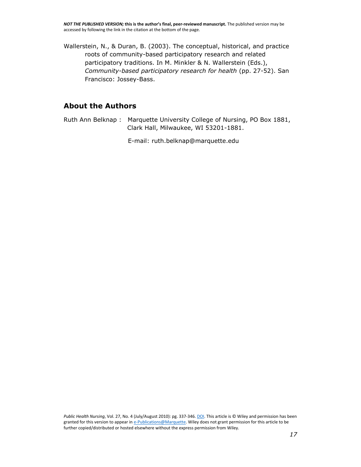Wallerstein, N., & Duran, B. (2003). The conceptual, historical, and practice roots of community-based participatory research and related participatory traditions. In M. Minkler & N. Wallerstein (Eds.), *Community-based participatory research for health* (pp. 27-52). San Francisco: Jossey-Bass.

#### **About the Authors**

Ruth Ann Belknap : Marquette University College of Nursing, PO Box 1881, Clark Hall, Milwaukee, WI 53201-1881.

E-mail: [ruth.belknap@marquette.edu](mailto:ruth.belknap@marquette.edu)

*Public Health Nursing*, Vol. 27, No. 4 (July/August 2010): pg. 337-346[. DOI.](http://dx.doi.org/10.1111/j.1525-1446.2010.00864.x) This article is © Wiley and permission has been granted for this version to appear i[n e-Publications@Marquette.](http://epublications.marquette.edu/) Wiley does not grant permission for this article to be further copied/distributed or hosted elsewhere without the express permission from Wiley.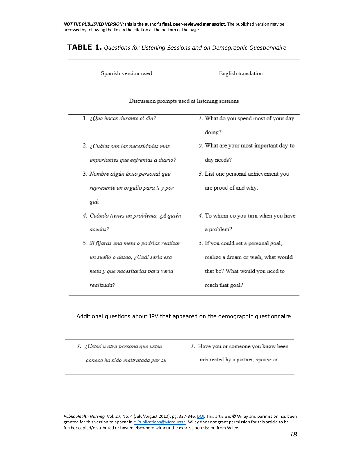*NOT THE PUBLISHED VERSION;* **this is the author's final, peer-reviewed manuscript.** The published version may be accessed by following the link in the citation at the bottom of the page.

| Spanish version used                          | English translation                     |  |  |  |
|-----------------------------------------------|-----------------------------------------|--|--|--|
| Discussion prompts used at listening sessions |                                         |  |  |  |
| 1. ¿Que haces durante el día?                 | 1. What do you spend most of your day   |  |  |  |
|                                               | doing?                                  |  |  |  |
| 2. ¿Cuáles son las necesidades más            | 2. What are your most important day-to- |  |  |  |
| importantes que enfrentas a diario?           | day needs?                              |  |  |  |
| 3. Nombre algún éxito personal que            | 3. List one personal achievement you    |  |  |  |
| represente un orgullo para ti y por           | are proud of and why.                   |  |  |  |
| qué.                                          |                                         |  |  |  |
| 4. Cuándo tienes un problema, ¿A quién        | 4. To whom do you turn when you have    |  |  |  |
| acudes?                                       | a problem?                              |  |  |  |
| 5. Si fijaras una meta o podrías realizar     | 5. If you could set a personal goal,    |  |  |  |
| un sueño o deseo, ¿Cuál sería esa             | realize a dream or wish, what would     |  |  |  |
| meta y que necesitarías para verla            | that be? What would you need to         |  |  |  |
| realizada?                                    | reach that goal?                        |  |  |  |

**TABLE 1.** *Questions for Listening Sessions and on Demographic Questionnaire*

Additional questions about IPV that appeared on the demographic questionnaire

| 1. ¿Usted u otra persona que usted | 1. Have you or someone you know been |
|------------------------------------|--------------------------------------|
|                                    |                                      |

conoce ha sido maltratada por su

mistreated by a partner, spouse or

*Public Health Nursing*, Vol. 27, No. 4 (July/August 2010): pg. 337-346[. DOI.](http://dx.doi.org/10.1111/j.1525-1446.2010.00864.x) This article is © Wiley and permission has been granted for this version to appear i[n e-Publications@Marquette.](http://epublications.marquette.edu/) Wiley does not grant permission for this article to be further copied/distributed or hosted elsewhere without the express permission from Wiley.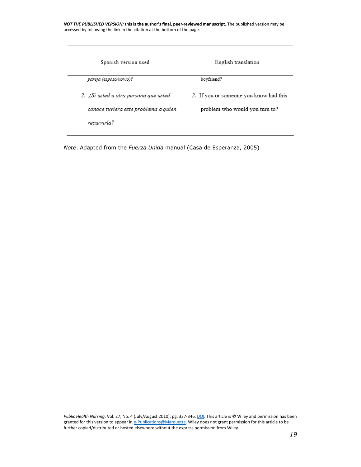*NOT THE PUBLISHED VERSION;* **this is the author's final, peer-reviewed manuscript.** The published version may be accessed by following the link in the citation at the bottom of the page.

| Spanish version used                  | English translation                    |
|---------------------------------------|----------------------------------------|
| pareja (esposo/novio)?                | boyfriend?                             |
| 2. ¿Si usted u otra persona que usted | 2. If you or someone you know had this |
| conoce tuviera este problema a quien  | problem who would you turn to?         |
| recurriría?                           |                                        |

*Note*. Adapted from the *Fuerza Unida* manual (Casa de Esperanza, 2005)

*Public Health Nursing*, Vol. 27, No. 4 (July/August 2010): pg. 337-346. **DOI**. This article is © Wiley and permission has been granted for this version to appear i[n e-Publications@Marquette.](http://epublications.marquette.edu/) Wiley does not grant permission for this article to be further copied/distributed or hosted elsewhere without the express permission from Wiley.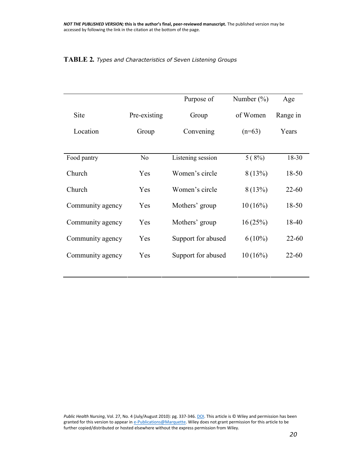#### **TABLE 2***. Types and Characteristics of Seven Listening Groups*

|                  |                | Purpose of         | Number $(\% )$ | Age       |
|------------------|----------------|--------------------|----------------|-----------|
| <b>Site</b>      | Pre-existing   | Group              | of Women       | Range in  |
| Location         | Group          | Convening          | $(n=63)$       | Years     |
|                  |                |                    |                |           |
| Food pantry      | N <sub>o</sub> | Listening session  | 5(8%)          | 18-30     |
| Church           | Yes            | Women's circle     | 8(13%)         | 18-50     |
| Church           | Yes            | Women's circle     | 8(13%)         | $22 - 60$ |
| Community agency | Yes            | Mothers' group     | $10(16\%)$     | 18-50     |
| Community agency | Yes            | Mothers' group     | 16(25%)        | 18-40     |
| Community agency | Yes            | Support for abused | $6(10\%)$      | $22 - 60$ |
| Community agency | Yes            | Support for abused | 10(16%)        | $22 - 60$ |
|                  |                |                    |                |           |

*Public Health Nursing*, Vol. 27, No. 4 (July/August 2010): pg. 337-346. **DOI**. This article is © Wiley and permission has been granted for this version to appear i[n e-Publications@Marquette.](http://epublications.marquette.edu/) Wiley does not grant permission for this article to be further copied/distributed or hosted elsewhere without the express permission from Wiley.